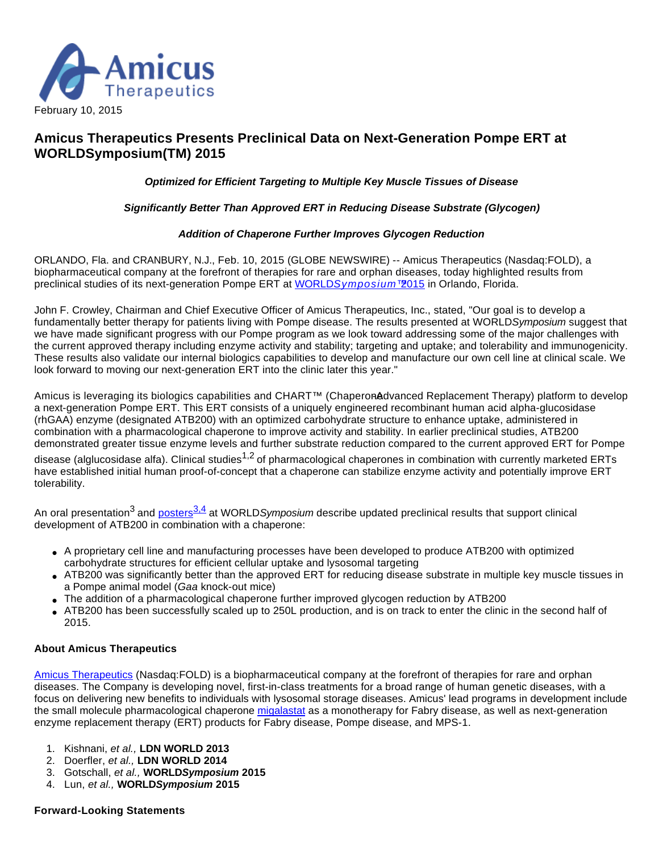

# **Amicus Therapeutics Presents Preclinical Data on Next-Generation Pompe ERT at WORLDSymposium(TM) 2015**

# **Optimized for Efficient Targeting to Multiple Key Muscle Tissues of Disease**

## **Significantly Better Than Approved ERT in Reducing Disease Substrate (Glycogen)**

# **Addition of Chaperone Further Improves Glycogen Reduction**

ORLANDO, Fla. and CRANBURY, N.J., Feb. 10, 2015 (GLOBE NEWSWIRE) -- Amicus Therapeutics (Nasdaq:FOLD), a biopharmaceutical company at the forefront of therapies for rare and orphan diseases, today highlighted results from preclinical studies of its next-generation Pompe ERT at WORLDSymposium<sup>™</sup> 2015 in Orlando, Florida.

John F. Crowley, Chairman and Chief Executive Officer of Amicus Therapeutics, Inc., stated, "Our goal is to develop a fundamentally better therapy for patients living with Pompe disease. The results presented at WORLDSymposium suggest that we have made significant progress with our Pompe program as we look toward addressing some of the major challenges with the current approved therapy including enzyme activity and stability; targeting and uptake; and tolerability and immunogenicity. These results also validate our internal biologics capabilities to develop and manufacture our own cell line at clinical scale. We look forward to moving our next-generation ERT into the clinic later this year."

Amicus is leveraging its biologics capabilities and CHART™ (ChaperonAdvanced Replacement Therapy) platform to develop a next-generation Pompe ERT. This ERT consists of a uniquely engineered recombinant human acid alpha-glucosidase (rhGAA) enzyme (designated ATB200) with an optimized carbohydrate structure to enhance uptake, administered in combination with a pharmacological chaperone to improve activity and stability. In earlier preclinical studies, ATB200 demonstrated greater tissue enzyme levels and further substrate reduction compared to the current approved ERT for Pompe

disease (alglucosidase alfa). Clinical studies<sup>1,2</sup> of pharmacological chaperones in combination with currently marketed ERTs have established initial human proof-of-concept that a chaperone can stabilize enzyme activity and potentially improve ERT tolerability.

An oral presentation<sup>3</sup> and *posters*<sup>3,4</sup> at WORLDSymposium describe updated preclinical results that support clinical development of ATB200 in combination with a chaperone:

- A proprietary cell line and manufacturing processes have been developed to produce ATB200 with optimized carbohydrate structures for efficient cellular uptake and lysosomal targeting
- ATB200 was significantly better than the approved ERT for reducing disease substrate in multiple key muscle tissues in a Pompe animal model (Gaa knock-out mice)
- The addition of a pharmacological chaperone further improved glycogen reduction by ATB200
- ATB200 has been successfully scaled up to 250L production, and is on track to enter the clinic in the second half of 2015.

### **About Amicus Therapeutics**

[Amicus Therapeutics](http://www.globenewswire.com/newsroom/ctr?d=10119409&l=9&a=Amicus%20Therapeutics&u=http%3A%2F%2Fwww.amicusrx.com%2Fdefault.aspx) (Nasdaq:FOLD) is a biopharmaceutical company at the forefront of therapies for rare and orphan diseases. The Company is developing novel, first-in-class treatments for a broad range of human genetic diseases, with a focus on delivering new benefits to individuals with lysosomal storage diseases. Amicus' lead programs in development include the small molecule pharmacological chaperone [migalastat](http://www.globenewswire.com/newsroom/ctr?d=10119409&l=9&a=migalastat&u=http%3A%2F%2Fwww.amicusrx.com%2Ffabry.aspx) as a monotherapy for Fabry disease, as well as next-generation enzyme replacement therapy (ERT) products for Fabry disease, Pompe disease, and MPS-1.

- 1. Kishnani, et al., **LDN WORLD 2013**
- 2. Doerfler, et al., **LDN WORLD 2014**
- 3. Gotschall, et al., **WORLDSymposium 2015**
- 4. Lun, et al., **WORLDSymposium 2015**

### **Forward-Looking Statements**